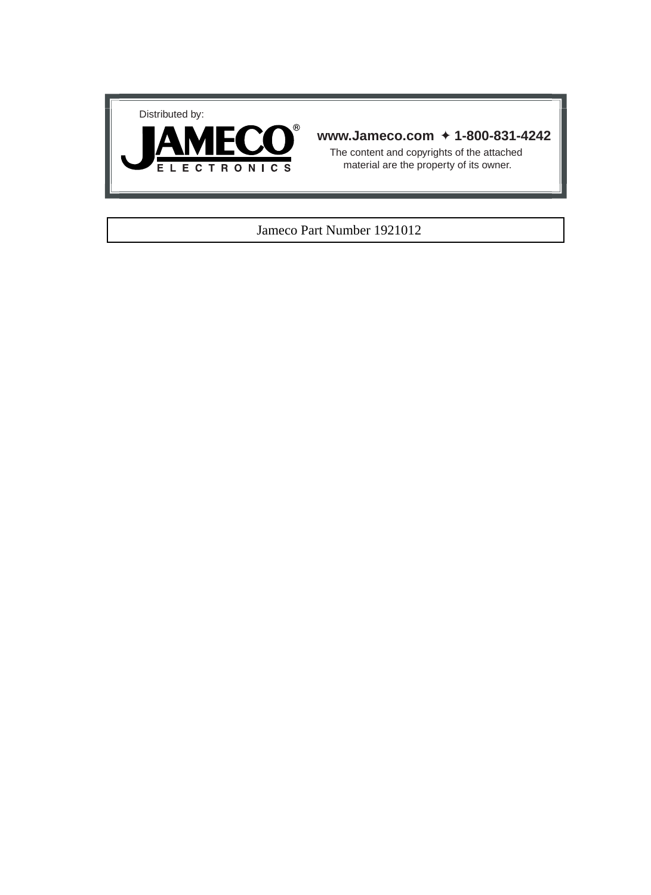



## **www.Jameco.com** ✦ **1-800-831-4242**

The content and copyrights of the attached material are the property of its owner.

#### Jameco Part Number 1921012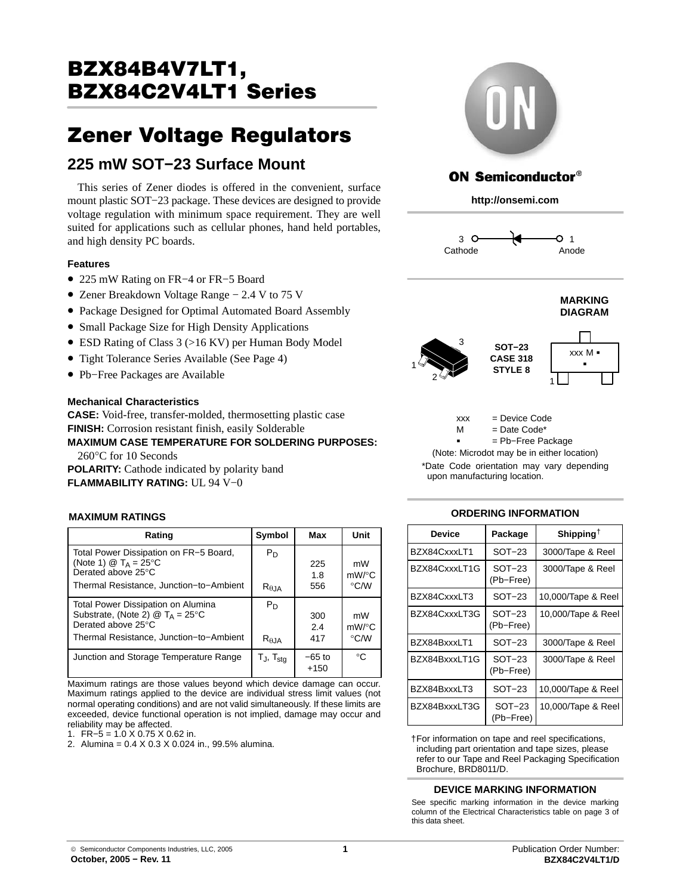# BZX84B4V7LT1,<br>BZX84C2V4LT1 Series <u>Bazarta State State State State State State State State State State State State State State State State State S</u>

# 22 Europe Regulators Regulators Regulators Regulators Regulators Regulators Regulators Regulators Regulators R **225 mW SOT−23 Surface Mount**

This series of Zener diodes is offered in the convenient, surface mount plastic SOT−23 package. These devices are designed to provide voltage regulation with minimum space requirement. They are well suited for applications such as cellular phones, hand held portables, and high density PC boards.

#### **Features**

- 225 mW Rating on FR−4 or FR−5 Board
- Zener Breakdown Voltage Range − 2.4 V to 75 V
- Package Designed for Optimal Automated Board Assembly
- Small Package Size for High Density Applications
- ESD Rating of Class 3 (>16 KV) per Human Body Model
- Tight Tolerance Series Available (See Page [4\)](#page-4-0)
- Pb−Free Packages are Available

#### **Mechanical Characteristics**

**CASE:** Void-free, transfer-molded, thermosetting plastic case **FINISH:** Corrosion resistant finish, easily Solderable

**MAXIMUM CASE TEMPERATURE FOR SOLDERING PURPOSES:** 260°C for 10 Seconds

**POLARITY:** Cathode indicated by polarity band **FLAMMABILITY RATING:** UL 94 V−0

#### **MAXIMUM RATINGS**

| Rating                                                                                                                                                                   | Symbol                   | Max                | Unit                                 |
|--------------------------------------------------------------------------------------------------------------------------------------------------------------------------|--------------------------|--------------------|--------------------------------------|
| Total Power Dissipation on FR-5 Board,<br>(Note 1) $\textcircled{2}$ T <sub>A</sub> = 25 <sup>o</sup> C<br>Derated above 25°C<br>Thermal Resistance, Junction-to-Ambient | $P_D$<br>$R_{\theta,IA}$ | 225<br>1.8<br>556  | mW<br>$mW$ /°C<br>$\rm ^{\circ}$ C/W |
| Total Power Dissipation on Alumina<br>Substrate, (Note 2) $\textcircled{2}$ T <sub>A</sub> = 25°C<br>Derated above 25°C<br>Thermal Resistance, Junction-to-Ambient       | $P_D$<br>$R_{\theta,IA}$ | 300<br>2.4<br>417  | mW<br>$mW$ /°C<br>$\rm ^{\circ}$ C/W |
| Junction and Storage Temperature Range                                                                                                                                   | $T_{J}$ , $T_{stg}$      | $-65$ to<br>$+150$ | $^{\circ}C$                          |

Maximum ratings are those values beyond which device damage can occur. Maximum ratings applied to the device are individual stress limit values (not normal operating conditions) and are not valid simultaneously. If these limits are exceeded, device functional operation is not implied, damage may occur and reliability may be affected.

1. FR−5 = 1.0 X 0.75 X 0.62 in.

2. Alumina = 0.4 X 0.3 X 0.024 in., 99.5% alumina.



# ON Semiconductor®

**http://onsemi.com**







xxx = Device Code

 $=$  Date Code\* M<br>-

= Pb−Free Package

\*Date Code orientation may vary depending upon manufacturing location. (Note: Microdot may be in either location)

### **ORDERING INFORMATION**

| <b>Device</b> | Package               | Shipping <sup><math>\dagger</math></sup> |
|---------------|-----------------------|------------------------------------------|
| BZX84CxxxLT1  | $SOT-23$              | 3000/Tape & Reel                         |
| BZX84CxxxLT1G | $SOT-23$<br>(Pb-Free) | 3000/Tape & Reel                         |
| BZX84CxxxLT3  | $SOT-23$              | 10,000/Tape & Reel                       |
| BZX84CxxxLT3G | $SOT-23$<br>(Pb-Free) | 10,000/Tape & Reel                       |
| BZX84BxxxLT1  | $SOT-23$              | 3000/Tape & Reel                         |
| BZX84BxxxLT1G | $SOT-23$<br>(Pb-Free) | 3000/Tape & Reel                         |
| BZX84BxxxLT3  | $SOT-23$              | 10,000/Tape & Reel                       |
| BZX84BxxxLT3G | SOT-23<br>(Pb-Free)   | 10,000/Tape & Reel                       |

†For information on tape and reel specifications, including part orientation and tape sizes, please refer to our Tape and Reel Packaging Specification Brochure, BRD8011/D.

#### **DEVICE MARKING INFORMATION**

See specific marking information in the device marking column of the Electrical Characteristics table on page [3 of](#page-3-0) [this data sheet.](#page-3-0)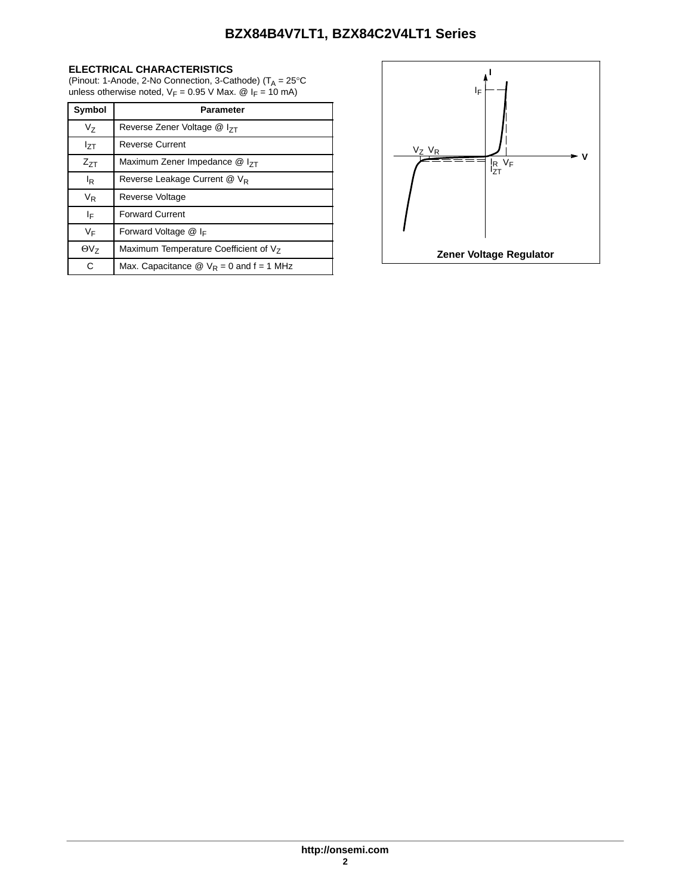#### **ELECTRICAL CHARACTERISTICS**

(Pinout: 1-Anode, 2-No Connection, 3-Cathode) ( $T_A = 25^{\circ}$ C unless otherwise noted,  $V_F = 0.95$  V Max. @  $I_F = 10$  mA)

| Symbol         | Parameter                                                     |
|----------------|---------------------------------------------------------------|
| V <sub>7</sub> | Reverse Zener Voltage $@$ $ _{7}$                             |
| Izτ            | <b>Reverse Current</b>                                        |
| $Z_{7T}$       | Maximum Zener Impedance @ I <sub>7T</sub>                     |
| l <sub>R</sub> | Reverse Leakage Current @ V <sub>R</sub>                      |
| $V_{R}$        | Reverse Voltage                                               |
| ΙF             | <b>Forward Current</b>                                        |
| VF             | Forward Voltage $@$ I <sub>F</sub>                            |
| $\Theta V_{7}$ | Maximum Temperature Coefficient of V <sub>7</sub>             |
| C              | Max. Capacitance $\circledR$ V <sub>R</sub> = 0 and f = 1 MHz |

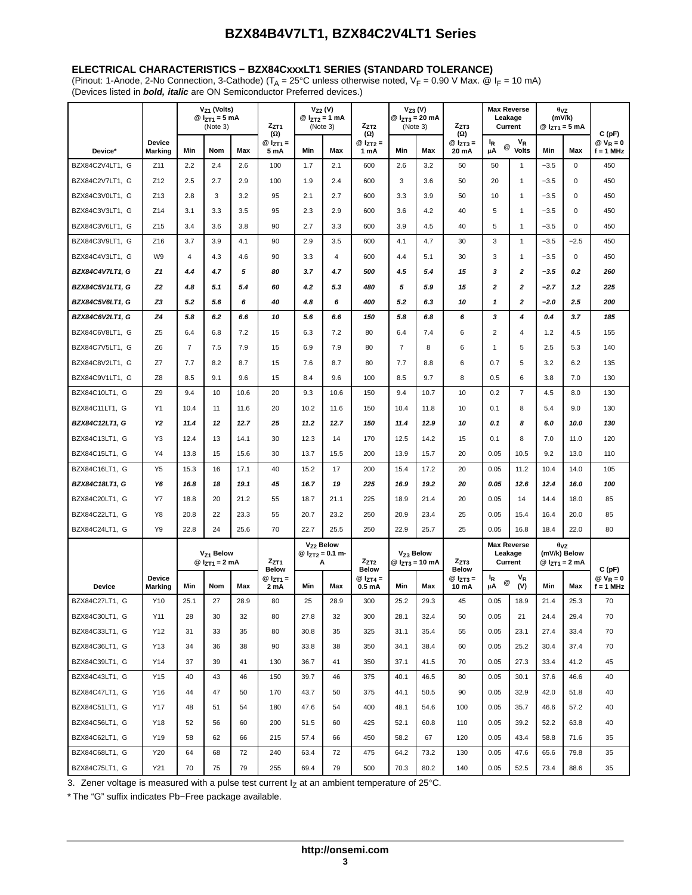#### <span id="page-3-0"></span>**ELECTRICAL CHARACTERISTICS − BZX84CxxxLT1 SERIES (STANDARD TOLERANCE)**

(Pinout: 1-Anode, 2-No Connection, 3-Cathode) ( $T_A = 25^\circ$ C unless otherwise noted,  $V_F = 0.90$  V Max. @  $I_F = 10$  mA) (Devices listed in *bold, italic* are ON Semiconductor Preferred devices.)

|                 |                                 |                | V <sub>Z1</sub> (Volts)<br>@ $I_{ZT1} = 5$ mA<br>(Note 3) |      | $Z_{ZT1}$<br>$(\Omega)$   |      | $V_{Z2}$ (V)<br>@ $I_{ZT2} = 1$ mA<br>(Note 3)            | $Z_{ZT2}$<br>$(\Omega)$           |                | $V_{Z3} (V)$<br>@ $I_{ZT3} = 20$ mA<br>(Note 3) | $Z_{ZT3}$<br>$(\Omega)$       | Leakage<br>Current            | <b>Max Reverse</b>    | $\theta$ <sub>VZ</sub><br>(mV/k)<br>@ $I_{ZT1} = 5$ mA |                           | C(pF)                     |
|-----------------|---------------------------------|----------------|-----------------------------------------------------------|------|---------------------------|------|-----------------------------------------------------------|-----------------------------------|----------------|-------------------------------------------------|-------------------------------|-------------------------------|-----------------------|--------------------------------------------------------|---------------------------|---------------------------|
| Device*         | <b>Device</b><br><b>Marking</b> | Min            | Nom                                                       | Max  | @ $I_{ZT1} =$<br>5 mA     | Min  | Max                                                       | $@I_{ZT2}=$<br>1 mA               | Min            | Max                                             | $@I_{ZT3} =$<br>20 mA         | <sup>I</sup> R<br>@<br>μA     | $V_R$<br><b>Volts</b> | Min                                                    | Max                       | $@V_R = 0$<br>$f = 1$ MHz |
| BZX84C2V4LT1, G | Z11                             | 2.2            | 2.4                                                       | 2.6  | 100                       | 1.7  | 2.1                                                       | 600                               | 2.6            | 3.2                                             | 50                            | 50                            | $\mathbf{1}$          | $-3.5$                                                 | $\mathbf 0$               | 450                       |
| BZX84C2V7LT1, G | Z12                             | 2.5            | 2.7                                                       | 2.9  | 100                       | 1.9  | 2.4                                                       | 600                               | 3              | 3.6                                             | 50                            | 20                            | $\mathbf{1}$          | $-3.5$                                                 | $\mathbf 0$               | 450                       |
| BZX84C3V0LT1, G | Z13                             | 2.8            | 3                                                         | 3.2  | 95                        | 2.1  | 2.7                                                       | 600                               | 3.3            | 3.9                                             | 50                            | 10                            | $\mathbf{1}$          | $-3.5$                                                 | $\mathbf 0$               | 450                       |
| BZX84C3V3LT1, G | Z14                             | 3.1            | 3.3                                                       | 3.5  | 95                        | 2.3  | 2.9                                                       | 600                               | 3.6            | 4.2                                             | 40                            | 5                             | $\mathbf{1}$          | $-3.5$                                                 | $\mathbf 0$               | 450                       |
| BZX84C3V6LT1, G | Z15                             | 3.4            | 3.6                                                       | 3.8  | 90                        | 2.7  | 3.3                                                       | 600                               | 3.9            | 4.5                                             | 40                            | 5                             | $\mathbf{1}$          | $-3.5$                                                 | $\mathbf 0$               | 450                       |
| BZX84C3V9LT1. G | Z16                             | 3.7            | 3.9                                                       | 4.1  | 90                        | 2.9  | 3.5                                                       | 600                               | 4.1            | 4.7                                             | 30                            | 3                             | $\mathbf{1}$          | $-3.5$                                                 | $-2.5$                    | 450                       |
| BZX84C4V3LT1, G | W <sub>9</sub>                  | $\overline{4}$ | 4.3                                                       | 4.6  | 90                        | 3.3  | $\overline{4}$                                            | 600                               | 4.4            | 5.1                                             | 30                            | 3                             | $\mathbf{1}$          | $-3.5$                                                 | $\mathbf 0$               | 450                       |
| BZX84C4V7LT1, G | Z1                              | 4.4            | 4.7                                                       | 5    | 80                        | 3.7  | 4.7                                                       | 500                               | 4.5            | 5.4                                             | 15                            | 3                             | $\mathbf{z}$          | $-3.5$                                                 | 0.2                       | 260                       |
| BZX84C5V1LT1, G | Z <sub>2</sub>                  | 4.8            | 5.1                                                       | 5.4  | 60                        | 4.2  | 5.3                                                       | 480                               | 5              | 5.9                                             | 15                            | $\mathbf{z}$                  | 2                     | $-2.7$                                                 | 1.2                       | 225                       |
| BZX84C5V6LT1, G | Z3                              | 5.2            | 5.6                                                       | 6    | 40                        | 4.8  | 6                                                         | 400                               | 5.2            | 6.3                                             | 10                            | $\mathbf{1}$                  | $\overline{2}$        | $-2.0$                                                 | 2.5                       | 200                       |
| BZX84C6V2LT1, G | Z4                              | 5.8            | 6.2                                                       | 6.6  | 10                        | 5.6  | 6.6                                                       | 150                               | 5.8            | 6.8                                             | 6                             | 3                             | 4                     | 0.4                                                    | 3.7                       | 185                       |
| BZX84C6V8LT1, G | Z <sub>5</sub>                  | 6.4            | 6.8                                                       | 7.2  | 15                        | 6.3  | 7.2                                                       | 80                                | 6.4            | 7.4                                             | 6                             | $\overline{2}$                | 4                     | 1.2                                                    | 4.5                       | 155                       |
| BZX84C7V5LT1, G | Z <sub>6</sub>                  | $\overline{7}$ | 7.5                                                       | 7.9  | 15                        | 6.9  | 7.9                                                       | 80                                | $\overline{7}$ | 8                                               | 6                             | $\overline{1}$                | 5                     | 2.5                                                    | 5.3                       | 140                       |
| BZX84C8V2LT1, G | Z7                              | 7.7            | 8.2                                                       | 8.7  | 15                        | 7.6  | 8.7                                                       | 80                                | 7.7            | 8.8                                             | 6                             | 0.7                           | 5                     | 3.2                                                    | 6.2                       | 135                       |
| BZX84C9V1LT1, G | Z8                              | 8.5            | 9.1                                                       | 9.6  | 15                        | 8.4  | 9.6                                                       | 100                               | 8.5            | 9.7                                             | 8                             | 0.5                           | 6                     | 3.8                                                    | 7.0                       | 130                       |
| BZX84C10LT1, G  | Z <sub>9</sub>                  | 9.4            | 10                                                        | 10.6 | 20                        | 9.3  | 10.6                                                      | 150                               | 9.4            | 10.7                                            | 10                            | 0.2                           | $\overline{7}$        | 4.5                                                    | 8.0                       | 130                       |
| BZX84C11LT1, G  | Y1                              | 10.4           | 11                                                        | 11.6 | 20                        | 10.2 | 11.6                                                      | 150                               | 10.4           | 11.8                                            | 10                            | 0.1                           | 8                     | 5.4                                                    | 9.0                       | 130                       |
| BZX84C12LT1, G  | Y2                              | 11.4           | 12                                                        | 12.7 | 25                        | 11.2 | 12.7                                                      | 150                               | 11.4           | 12.9                                            | 10                            | 0.1                           | 8                     | 6.0                                                    | 10.0                      | 130                       |
| BZX84C13LT1, G  | Y3                              | 12.4           | 13                                                        | 14.1 | 30                        | 12.3 | 14                                                        | 170                               | 12.5           | 14.2                                            | 15                            | 0.1                           | 8                     | 7.0                                                    | 11.0                      | 120                       |
| BZX84C15LT1, G  | Y4                              | 13.8           | 15                                                        | 15.6 | 30                        | 13.7 | 15.5                                                      | 200                               | 13.9           | 15.7                                            | 20                            | 0.05                          | 10.5                  | 9.2                                                    | 13.0                      | 110                       |
| BZX84C16LT1, G  | Y <sub>5</sub>                  | 15.3           | 16                                                        | 17.1 | 40                        | 15.2 | 17                                                        | 200                               | 15.4           | 17.2                                            | 20                            | 0.05                          | 11.2                  | 10.4                                                   | 14.0                      | 105                       |
| BZX84C18LT1, G  | Y6                              | 16.8           | 18                                                        | 19.1 | 45                        | 16.7 | 19                                                        | 225                               | 16.9           | 19.2                                            | 20                            | 0.05                          | 12.6                  | 12.4                                                   | 16.0                      | 100                       |
| BZX84C20LT1, G  | Y7                              | 18.8           | 20                                                        | 21.2 | 55                        | 18.7 | 21.1                                                      | 225                               | 18.9           | 21.4                                            | 20                            | 0.05                          | 14                    | 14.4                                                   | 18.0                      | 85                        |
| BZX84C22LT1, G  | Y8                              | 20.8           | 22                                                        | 23.3 | 55                        | 20.7 | 23.2                                                      | 250                               | 20.9           | 23.4                                            | 25                            | 0.05                          | 15.4                  | 16.4                                                   | 20.0                      | 85                        |
| BZX84C24LT1, G  | Y9                              | 22.8           | 24                                                        | 25.6 | 70                        | 22.7 | 25.5                                                      | 250                               | 22.9           | 25.7                                            | 25                            | 0.05                          | 16.8                  | 18.4                                                   | 22.0                      | 80                        |
|                 |                                 |                | V <sub>Z1</sub> Below<br>@ $I_{ZT1} = 2$ mA               |      | $Z_{ZT1}$<br><b>Below</b> |      | V <sub>Z2</sub> Below<br>@ I <sub>ZT2</sub> = 0.1 m-<br>Α | $Z_{ZT2}$<br><b>Below</b>         |                | V <sub>Z3</sub> Below<br>@ $I_{ZT3} = 10$ mA    | $Z_{ZT3}$<br><b>Below</b>     | <b>Max Reverse</b><br>Leakage | Current               | $\theta$ <sub>VZ</sub><br>(mV/k) Below                 | @ I <sub>ZT1</sub> = 2 mA | C (pF)                    |
| <b>Device</b>   | Device<br><b>Marking</b>        | Min            | Nom                                                       | Max  | @ $I_{ZT1} =$<br>2 mA     | Min  | Max                                                       | $@I_{ZT4}=$<br>0.5 <sub>m</sub> A | Min            | Max                                             | @ I <sub>ZT3</sub> =<br>10 mA | ΙŖ.<br>$^\circledR$<br>μA     | $V_R$<br>(V)          | Min                                                    | Max                       | $@V_R = 0$<br>$f = 1$ MHz |
| BZX84C27LT1, G  | Y10                             | 25.1           | 27                                                        | 28.9 | 80                        | 25   | 28.9                                                      | 300                               | 25.2           | 29.3                                            | 45                            | 0.05                          | 18.9                  | 21.4                                                   | 25.3                      | 70                        |
| BZX84C30LT1, G  | Y11                             | 28             | 30                                                        | 32   | 80                        | 27.8 | 32                                                        | 300                               | 28.1           | 32.4                                            | 50                            | 0.05                          | 21                    | 24.4                                                   | 29.4                      | 70                        |
| BZX84C33LT1, G  | Y12                             | 31             | 33                                                        | 35   | 80                        | 30.8 | 35                                                        | 325                               | 31.1           | 35.4                                            | 55                            | 0.05                          | 23.1                  | 27.4                                                   | 33.4                      | 70                        |
| BZX84C36LT1, G  | Y13                             | 34             | 36                                                        | 38   | 90                        | 33.8 | 38                                                        | 350                               | 34.1           | 38.4                                            | 60                            | 0.05                          | 25.2                  | 30.4                                                   | 37.4                      | 70                        |
| BZX84C39LT1, G  | Y14                             | 37             | 39                                                        | 41   | 130                       | 36.7 | 41                                                        | 350                               | 37.1           | 41.5                                            | 70                            | 0.05                          | 27.3                  | 33.4                                                   | 41.2                      | 45                        |
| BZX84C43LT1, G  | Y15                             | 40             | 43                                                        | 46   | 150                       | 39.7 | 46                                                        | 375                               | 40.1           | 46.5                                            | 80                            | 0.05                          | 30.1                  | 37.6                                                   | 46.6                      | 40                        |
| BZX84C47LT1, G  | Y16                             | 44             | 47                                                        | 50   | 170                       | 43.7 | 50                                                        | 375                               | 44.1           | 50.5                                            | 90                            | 0.05                          | 32.9                  | 42.0                                                   | 51.8                      | 40                        |
| BZX84C51LT1, G  | Y17                             | 48             | 51                                                        | 54   | 180                       | 47.6 | 54                                                        | 400                               | 48.1           | 54.6                                            | 100                           | 0.05                          | 35.7                  | 46.6                                                   | 57.2                      | 40                        |
| BZX84C56LT1, G  | Y18                             | 52             | 56                                                        | 60   | 200                       | 51.5 | 60                                                        | 425                               | 52.1           | 60.8                                            | 110                           | 0.05                          | 39.2                  | 52.2                                                   | 63.8                      | 40                        |
| BZX84C62LT1, G  | Y19                             | 58             | 62                                                        | 66   | 215                       | 57.4 | 66                                                        | 450                               | 58.2           | 67                                              | 120                           | 0.05                          | 43.4                  | 58.8                                                   | 71.6                      | 35                        |
| BZX84C68LT1, G  | Y20                             | 64             | 68                                                        | 72   | 240                       | 63.4 | 72                                                        | 475                               | 64.2           | 73.2                                            | 130                           | 0.05                          | 47.6                  | 65.6                                                   | 79.8                      | 35                        |
| BZX84C75LT1, G  | Y21                             | 70             | 75                                                        | 79   | 255                       | 69.4 | 79                                                        | 500                               | 70.3           | 80.2                                            | 140                           | 0.05                          | 52.5                  | 73.4                                                   | 88.6                      | 35                        |

3. Zener voltage is measured with a pulse test current  $I_Z$  at an ambient temperature of 25°C.

\* The "G" suffix indicates Pb−Free package available.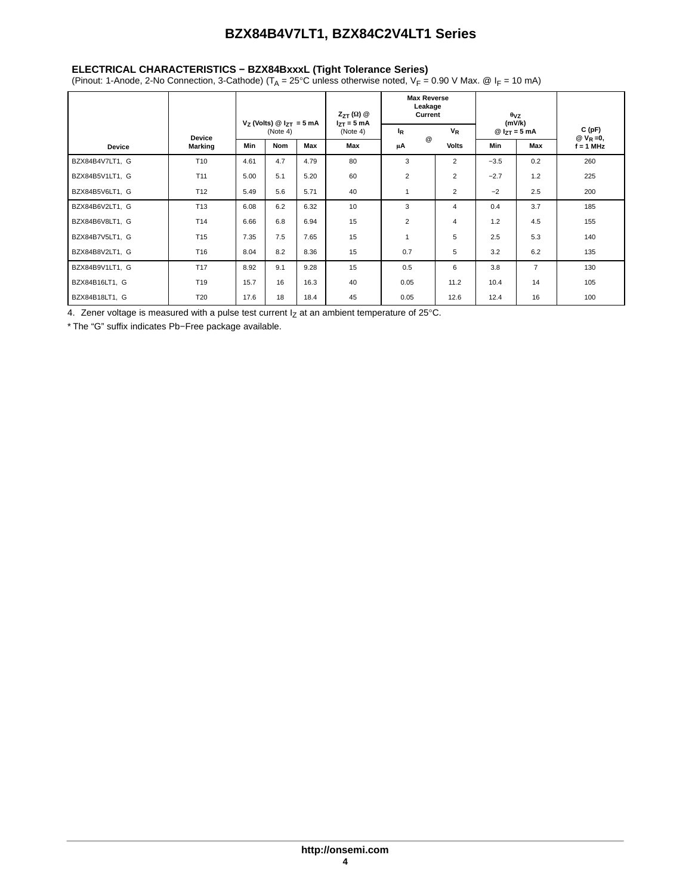#### <span id="page-4-0"></span>**ELECTRICAL CHARACTERISTICS − BZX84BxxxL (Tight Tolerance Series)**

(Pinout: 1-Anode, 2-No Connection, 3-Cathode) ( $T_A = 25^\circ$ C unless otherwise noted,  $V_F = 0.90$  V Max. @  $I_F = 10$  mA)

|                 |                 |            |                                             |      | $Z_{ZT}(\Omega)$ @<br>$I_{7T} = 5$ mA | <b>Max Reverse</b><br>Leakage<br>Current |                | $\theta$ <sub>VZ</sub><br>(mV/k) |                |                        |  |
|-----------------|-----------------|------------|---------------------------------------------|------|---------------------------------------|------------------------------------------|----------------|----------------------------------|----------------|------------------------|--|
|                 | <b>Device</b>   |            | $V_Z$ (Volts) @ $I_{ZT} = 5$ mA<br>(Note 4) |      | (Note 4)                              | $I_R$<br>$^{\copyright}$                 | $V_R$          | $@I_{ZT} = 5 mA$                 |                | C(pF)<br>@ $V_R = 0$ , |  |
| <b>Device</b>   | <b>Marking</b>  | <b>Min</b> | <b>Nom</b>                                  | Max  | Max                                   | μA                                       | <b>Volts</b>   |                                  | Max            | $f = 1$ MHz            |  |
| BZX84B4V7LT1, G | T <sub>10</sub> | 4.61       | 4.7                                         | 4.79 | 80                                    | 3                                        | $\overline{2}$ | $-3.5$                           | 0.2            | 260                    |  |
| BZX84B5V1LT1, G | T <sub>11</sub> | 5.00       | 5.1                                         | 5.20 | 60                                    | $\overline{2}$                           | $\overline{2}$ | $-2.7$                           | 1.2            | 225                    |  |
| BZX84B5V6LT1, G | T <sub>12</sub> | 5.49       | 5.6                                         | 5.71 | 40                                    | 1                                        | $\overline{2}$ | $-2$                             | 2.5            | 200                    |  |
| BZX84B6V2LT1, G | T <sub>13</sub> | 6.08       | 6.2                                         | 6.32 | 10                                    | 3                                        | 4              | 0.4                              | 3.7            | 185                    |  |
| BZX84B6V8LT1, G | T <sub>14</sub> | 6.66       | 6.8                                         | 6.94 | 15                                    | $\overline{2}$                           | 4              | 1.2                              | 4.5            | 155                    |  |
| BZX84B7V5LT1, G | T <sub>15</sub> | 7.35       | 7.5                                         | 7.65 | 15                                    |                                          | 5              | 2.5                              | 5.3            | 140                    |  |
| BZX84B8V2LT1, G | T16             | 8.04       | 8.2                                         | 8.36 | 15                                    | 0.7                                      | 5              | 3.2                              | 6.2            | 135                    |  |
| BZX84B9V1LT1, G | T <sub>17</sub> | 8.92       | 9.1                                         | 9.28 | 15                                    | 0.5                                      | 6              | 3.8                              | $\overline{7}$ | 130                    |  |
| BZX84B16LT1, G  | T19             | 15.7       | 16                                          | 16.3 | 40                                    | 0.05                                     | 11.2           | 10.4                             | 14             | 105                    |  |
| BZX84B18LT1, G  | T <sub>20</sub> | 17.6       | 18                                          | 18.4 | 45                                    | 0.05                                     | 12.6           | 12.4                             | 16             | 100                    |  |

4. Zener voltage is measured with a pulse test current  $I_Z$  at an ambient temperature of 25°C.

\* The "G" suffix indicates Pb−Free package available.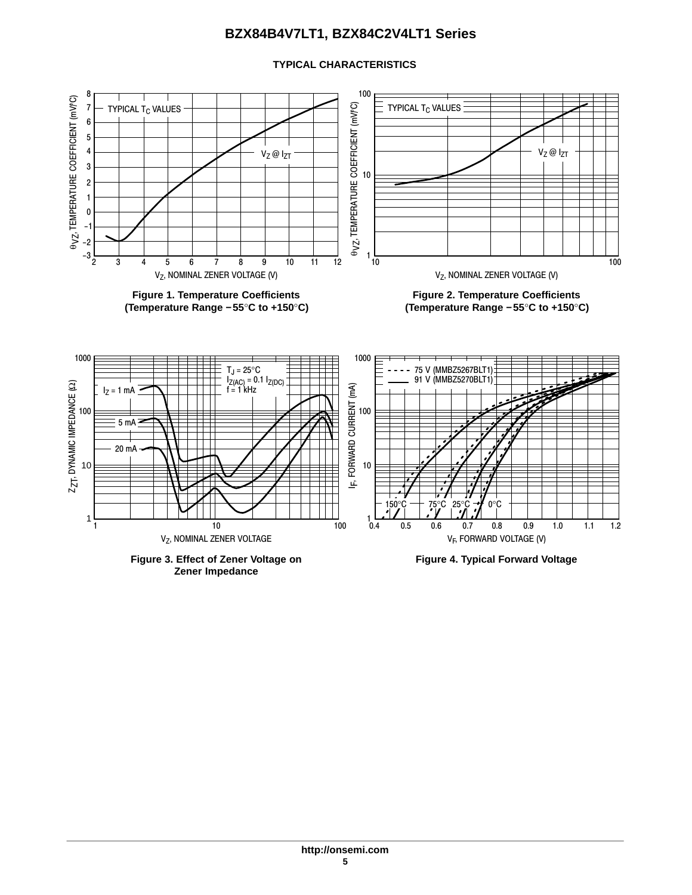### **TYPICAL CHARACTERISTICS**



**Zener Impedance**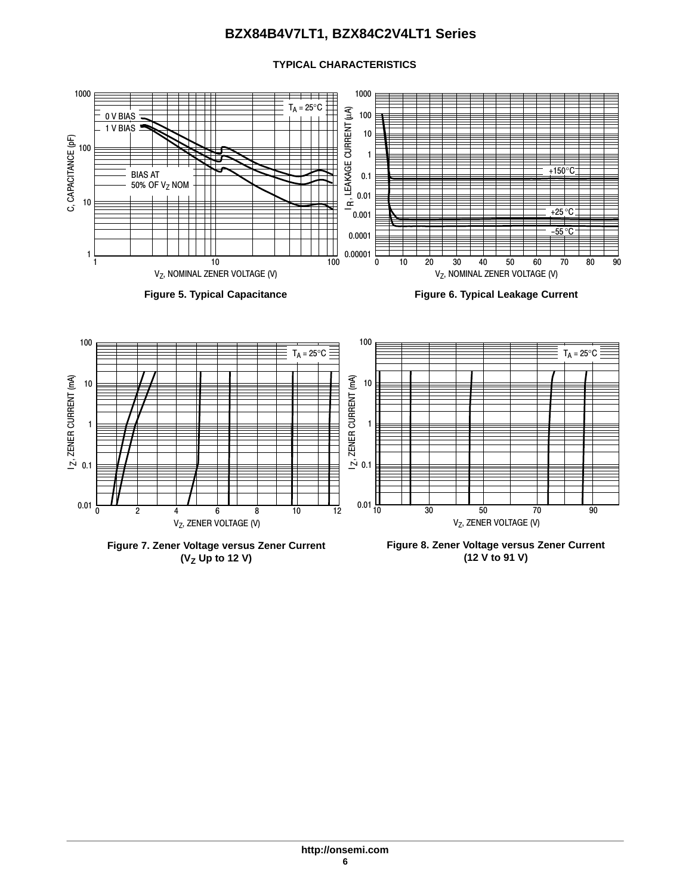#### 1000 1000  $\mathsf{T}_\mathsf{A}$  = 25°C IR, LEAKAGE CURRENT (LA) IR, LEAKAGE CURRENT (μA) 100 0 V BIAS  $1$  V BIAS  $\equiv$ 10 C, CAPACITANCE (pF) C, CAPACITANCE (pF) 100 1 +150°C BIAS AT 0.1 50% OF V<sub>Z</sub> NOM 0.01 10  $+25\,^{\circ}\text{C}$ 0.001 <u>–55 °C</u> 0.0001 0.00001 1 90 100 1 10 0 10 20 30 40 50 60 70 80 V<sub>Z</sub>, NOMINAL ZENER VOLTAGE (V) V<sub>Z</sub>, NOMINAL ZENER VOLTAGE (V)

**TYPICAL CHARACTERISTICS**







**Figure 7. Zener Voltage versus Zener Current (VZ Up to 12 V)**

100 10 1  $\geq 0.1$  $\frac{1}{10}$   $\frac{1}{30}$   $\frac{1}{50}$   $\frac{1}{70}$   $\frac{1}{90}$  $T_A = 25^{\circ}C$